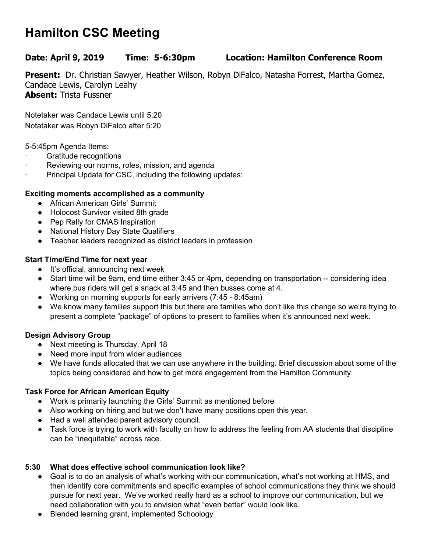# **Hamilton CSC Meeting**

## **Date: April 9, 2019 Time: 5-6:30pm Location: Hamilton Conference Room**

**Present:** Dr. Christian Sawyer, Heather Wilson, Robyn DiFalco, Natasha Forrest, Martha Gomez, Candace Lewis, Carolyn Leahy **Absent:** Trista Fussner

Notetaker was Candace Lewis until 5:20 Notataker was Robyn DiFalco after 5:20

5-5:45pm Agenda Items:

- Gratitude recognitions
- Reviewing our norms, roles, mission, and agenda
- Principal Update for CSC, including the following updates:

## **Exciting moments accomplished as a community**

- African American Girls' Summit
- Holocost Survivor visited 8th grade
- Pep Rally for CMAS Inspiration
- National History Day State Qualifiers
- Teacher leaders recognized as district leaders in profession

## **Start Time/End Time for next year**

- It's official, announcing next week
- Start time will be 9am, end time either 3:45 or 4pm, depending on transportation -- considering idea where bus riders will get a snack at 3:45 and then busses come at 4.
- Working on morning supports for early arrivers (7:45 8:45am)
- We know many families support this but there are families who don't like this change so we're trying to present a complete "package" of options to present to families when it's announced next week.

#### **Design Advisory Group**

- Next meeting is Thursday, April 18
- Need more input from wider audiences
- We have funds allocated that we can use anywhere in the building. Brief discussion about some of the topics being considered and how to get more engagement from the Hamilton Community.

# **Task Force for African American Equity**

- Work is primarily launching the Girls' Summit as mentioned before
- Also working on hiring and but we don't have many positions open this year.
- Had a well attended parent advisory council.
- Task force is trying to work with faculty on how to address the feeling from AA students that discipline can be "inequitable" across race.

# **5:30 What does effective school communication look like?**

- Goal is to do an analysis of what's working with our communication, what's not working at HMS, and then identify core commitments and specific examples of school communications they think we should pursue for next year. We've worked really hard as a school to improve our communication, but we need collaboration with you to envision what "even better" would look like.
- Blended learning grant, implemented Schoology